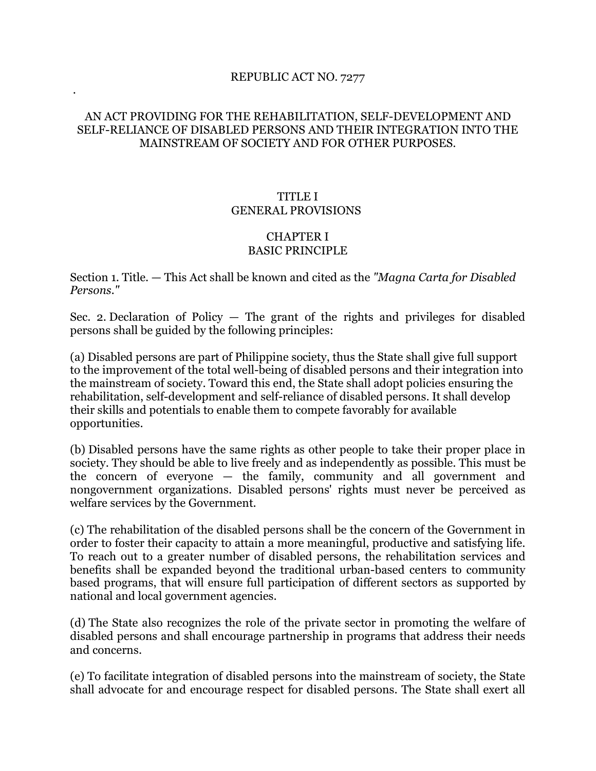## REPUBLIC ACT NO. 7277

.

## AN ACT PROVIDING FOR THE REHABILITATION, SELF-DEVELOPMENT AND SELF-RELIANCE OF DISABLED PERSONS AND THEIR INTEGRATION INTO THE MAINSTREAM OF SOCIETY AND FOR OTHER PURPOSES.

## TITLE I GENERAL PROVISIONS

## CHAPTER I BASIC PRINCIPLE

Section 1. Title. — This Act shall be known and cited as the *"Magna Carta for Disabled Persons."*

Sec. 2. Declaration of Policy  $-$  The grant of the rights and privileges for disabled persons shall be guided by the following principles:

(a) Disabled persons are part of Philippine society, thus the State shall give full support to the improvement of the total well-being of disabled persons and their integration into the mainstream of society. Toward this end, the State shall adopt policies ensuring the rehabilitation, self-development and self-reliance of disabled persons. It shall develop their skills and potentials to enable them to compete favorably for available opportunities.

(b) Disabled persons have the same rights as other people to take their proper place in society. They should be able to live freely and as independently as possible. This must be the concern of everyone — the family, community and all government and nongovernment organizations. Disabled persons' rights must never be perceived as welfare services by the Government.

(c) The rehabilitation of the disabled persons shall be the concern of the Government in order to foster their capacity to attain a more meaningful, productive and satisfying life. To reach out to a greater number of disabled persons, the rehabilitation services and benefits shall be expanded beyond the traditional urban-based centers to community based programs, that will ensure full participation of different sectors as supported by national and local government agencies.

(d) The State also recognizes the role of the private sector in promoting the welfare of disabled persons and shall encourage partnership in programs that address their needs and concerns.

(e) To facilitate integration of disabled persons into the mainstream of society, the State shall advocate for and encourage respect for disabled persons. The State shall exert all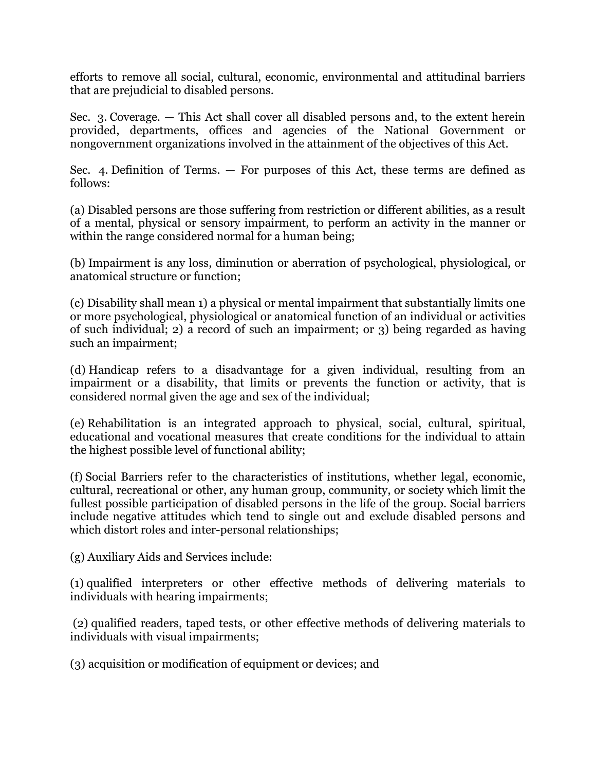efforts to remove all social, cultural, economic, environmental and attitudinal barriers that are prejudicial to disabled persons.

Sec. 3. Coverage. — This Act shall cover all disabled persons and, to the extent herein provided, departments, offices and agencies of the National Government or nongovernment organizations involved in the attainment of the objectives of this Act.

Sec. 4. Definition of Terms. — For purposes of this Act, these terms are defined as follows:

(a) Disabled persons are those suffering from restriction or different abilities, as a result of a mental, physical or sensory impairment, to perform an activity in the manner or within the range considered normal for a human being;

(b) Impairment is any loss, diminution or aberration of psychological, physiological, or anatomical structure or function;

(c) Disability shall mean 1) a physical or mental impairment that substantially limits one or more psychological, physiological or anatomical function of an individual or activities of such individual; 2) a record of such an impairment; or 3) being regarded as having such an impairment;

(d) Handicap refers to a disadvantage for a given individual, resulting from an impairment or a disability, that limits or prevents the function or activity, that is considered normal given the age and sex of the individual;

(e) Rehabilitation is an integrated approach to physical, social, cultural, spiritual, educational and vocational measures that create conditions for the individual to attain the highest possible level of functional ability;

(f) Social Barriers refer to the characteristics of institutions, whether legal, economic, cultural, recreational or other, any human group, community, or society which limit the fullest possible participation of disabled persons in the life of the group. Social barriers include negative attitudes which tend to single out and exclude disabled persons and which distort roles and inter-personal relationships;

(g) Auxiliary Aids and Services include:

(1) qualified interpreters or other effective methods of delivering materials to individuals with hearing impairments;

(2) qualified readers, taped tests, or other effective methods of delivering materials to individuals with visual impairments;

(3) acquisition or modification of equipment or devices; and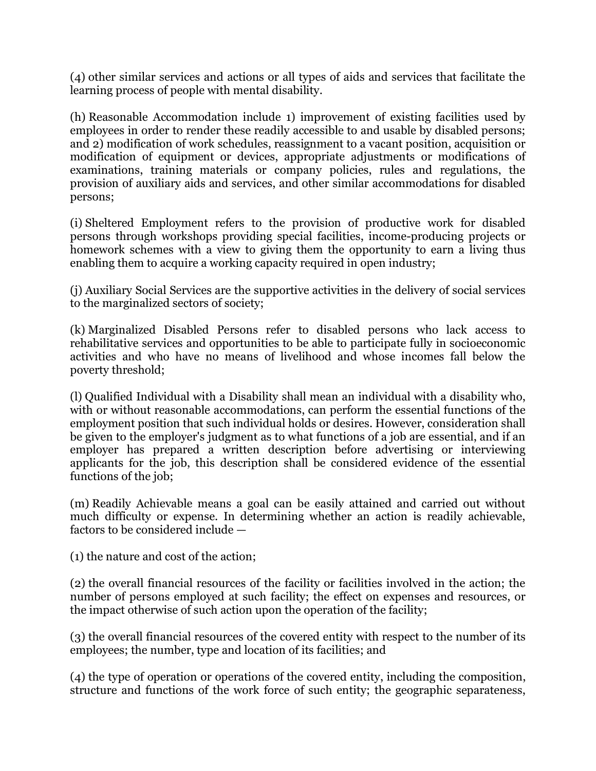(4) other similar services and actions or all types of aids and services that facilitate the learning process of people with mental disability.

(h) Reasonable Accommodation include 1) improvement of existing facilities used by employees in order to render these readily accessible to and usable by disabled persons; and 2) modification of work schedules, reassignment to a vacant position, acquisition or modification of equipment or devices, appropriate adjustments or modifications of examinations, training materials or company policies, rules and regulations, the provision of auxiliary aids and services, and other similar accommodations for disabled persons;

(i) Sheltered Employment refers to the provision of productive work for disabled persons through workshops providing special facilities, income-producing projects or homework schemes with a view to giving them the opportunity to earn a living thus enabling them to acquire a working capacity required in open industry;

(j) Auxiliary Social Services are the supportive activities in the delivery of social services to the marginalized sectors of society;

(k) Marginalized Disabled Persons refer to disabled persons who lack access to rehabilitative services and opportunities to be able to participate fully in socioeconomic activities and who have no means of livelihood and whose incomes fall below the poverty threshold;

(l) Qualified Individual with a Disability shall mean an individual with a disability who, with or without reasonable accommodations, can perform the essential functions of the employment position that such individual holds or desires. However, consideration shall be given to the employer's judgment as to what functions of a job are essential, and if an employer has prepared a written description before advertising or interviewing applicants for the job, this description shall be considered evidence of the essential functions of the job;

(m) Readily Achievable means a goal can be easily attained and carried out without much difficulty or expense. In determining whether an action is readily achievable, factors to be considered include —

(1) the nature and cost of the action;

(2) the overall financial resources of the facility or facilities involved in the action; the number of persons employed at such facility; the effect on expenses and resources, or the impact otherwise of such action upon the operation of the facility;

(3) the overall financial resources of the covered entity with respect to the number of its employees; the number, type and location of its facilities; and

(4) the type of operation or operations of the covered entity, including the composition, structure and functions of the work force of such entity; the geographic separateness,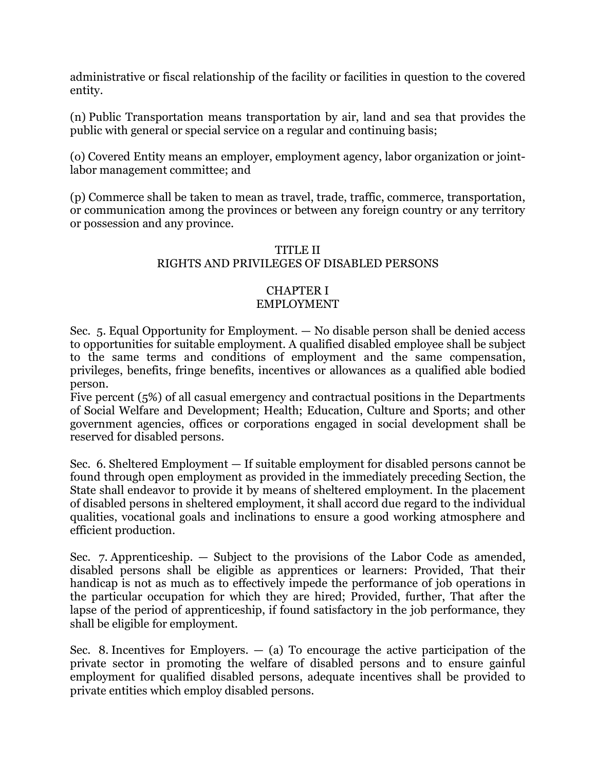administrative or fiscal relationship of the facility or facilities in question to the covered entity.

(n) Public Transportation means transportation by air, land and sea that provides the public with general or special service on a regular and continuing basis;

(o) Covered Entity means an employer, employment agency, labor organization or jointlabor management committee; and

(p) Commerce shall be taken to mean as travel, trade, traffic, commerce, transportation, or communication among the provinces or between any foreign country or any territory or possession and any province.

# TITLE II RIGHTS AND PRIVILEGES OF DISABLED PERSONS

## CHAPTER I EMPLOYMENT

Sec. 5. Equal Opportunity for Employment. — No disable person shall be denied access to opportunities for suitable employment. A qualified disabled employee shall be subject to the same terms and conditions of employment and the same compensation, privileges, benefits, fringe benefits, incentives or allowances as a qualified able bodied person.

Five percent (5%) of all casual emergency and contractual positions in the Departments of Social Welfare and Development; Health; Education, Culture and Sports; and other government agencies, offices or corporations engaged in social development shall be reserved for disabled persons.

Sec. 6. Sheltered Employment — If suitable employment for disabled persons cannot be found through open employment as provided in the immediately preceding Section, the State shall endeavor to provide it by means of sheltered employment. In the placement of disabled persons in sheltered employment, it shall accord due regard to the individual qualities, vocational goals and inclinations to ensure a good working atmosphere and efficient production.

Sec. 7. Apprenticeship. — Subject to the provisions of the Labor Code as amended, disabled persons shall be eligible as apprentices or learners: Provided, That their handicap is not as much as to effectively impede the performance of job operations in the particular occupation for which they are hired; Provided, further, That after the lapse of the period of apprenticeship, if found satisfactory in the job performance, they shall be eligible for employment.

Sec. 8. Incentives for Employers.  $-$  (a) To encourage the active participation of the private sector in promoting the welfare of disabled persons and to ensure gainful employment for qualified disabled persons, adequate incentives shall be provided to private entities which employ disabled persons.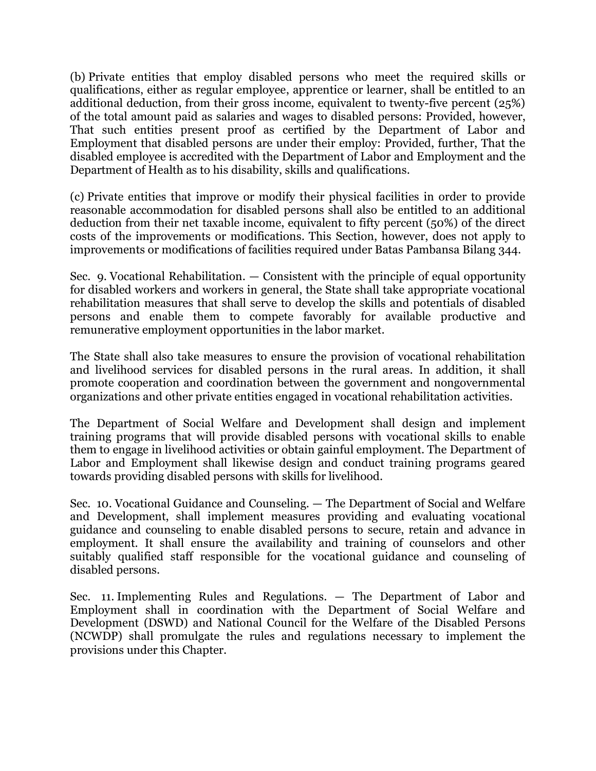(b) Private entities that employ disabled persons who meet the required skills or qualifications, either as regular employee, apprentice or learner, shall be entitled to an additional deduction, from their gross income, equivalent to twenty-five percent (25%) of the total amount paid as salaries and wages to disabled persons: Provided, however, That such entities present proof as certified by the Department of Labor and Employment that disabled persons are under their employ: Provided, further, That the disabled employee is accredited with the Department of Labor and Employment and the Department of Health as to his disability, skills and qualifications.

(c) Private entities that improve or modify their physical facilities in order to provide reasonable accommodation for disabled persons shall also be entitled to an additional deduction from their net taxable income, equivalent to fifty percent (50%) of the direct costs of the improvements or modifications. This Section, however, does not apply to improvements or modifications of facilities required under Batas Pambansa Bilang 344.

Sec. 9. Vocational Rehabilitation. — Consistent with the principle of equal opportunity for disabled workers and workers in general, the State shall take appropriate vocational rehabilitation measures that shall serve to develop the skills and potentials of disabled persons and enable them to compete favorably for available productive and remunerative employment opportunities in the labor market.

The State shall also take measures to ensure the provision of vocational rehabilitation and livelihood services for disabled persons in the rural areas. In addition, it shall promote cooperation and coordination between the government and nongovernmental organizations and other private entities engaged in vocational rehabilitation activities.

The Department of Social Welfare and Development shall design and implement training programs that will provide disabled persons with vocational skills to enable them to engage in livelihood activities or obtain gainful employment. The Department of Labor and Employment shall likewise design and conduct training programs geared towards providing disabled persons with skills for livelihood.

Sec. 10. Vocational Guidance and Counseling. — The Department of Social and Welfare and Development, shall implement measures providing and evaluating vocational guidance and counseling to enable disabled persons to secure, retain and advance in employment. It shall ensure the availability and training of counselors and other suitably qualified staff responsible for the vocational guidance and counseling of disabled persons.

Sec. 11. Implementing Rules and Regulations. — The Department of Labor and Employment shall in coordination with the Department of Social Welfare and Development (DSWD) and National Council for the Welfare of the Disabled Persons (NCWDP) shall promulgate the rules and regulations necessary to implement the provisions under this Chapter.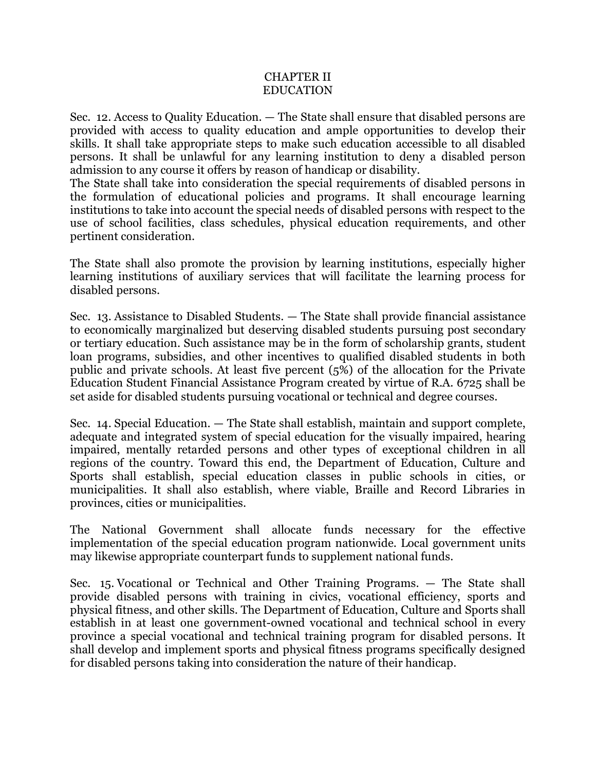## CHAPTER II EDUCATION

Sec. 12. Access to Quality Education. — The State shall ensure that disabled persons are provided with access to quality education and ample opportunities to develop their skills. It shall take appropriate steps to make such education accessible to all disabled persons. It shall be unlawful for any learning institution to deny a disabled person admission to any course it offers by reason of handicap or disability.

The State shall take into consideration the special requirements of disabled persons in the formulation of educational policies and programs. It shall encourage learning institutions to take into account the special needs of disabled persons with respect to the use of school facilities, class schedules, physical education requirements, and other pertinent consideration.

The State shall also promote the provision by learning institutions, especially higher learning institutions of auxiliary services that will facilitate the learning process for disabled persons.

Sec. 13. Assistance to Disabled Students. — The State shall provide financial assistance to economically marginalized but deserving disabled students pursuing post secondary or tertiary education. Such assistance may be in the form of scholarship grants, student loan programs, subsidies, and other incentives to qualified disabled students in both public and private schools. At least five percent (5%) of the allocation for the Private Education Student Financial Assistance Program created by virtue of R.A. 6725 shall be set aside for disabled students pursuing vocational or technical and degree courses.

Sec. 14. Special Education. — The State shall establish, maintain and support complete, adequate and integrated system of special education for the visually impaired, hearing impaired, mentally retarded persons and other types of exceptional children in all regions of the country. Toward this end, the Department of Education, Culture and Sports shall establish, special education classes in public schools in cities, or municipalities. It shall also establish, where viable, Braille and Record Libraries in provinces, cities or municipalities.

The National Government shall allocate funds necessary for the effective implementation of the special education program nationwide. Local government units may likewise appropriate counterpart funds to supplement national funds.

Sec. 15. Vocational or Technical and Other Training Programs. — The State shall provide disabled persons with training in civics, vocational efficiency, sports and physical fitness, and other skills. The Department of Education, Culture and Sports shall establish in at least one government-owned vocational and technical school in every province a special vocational and technical training program for disabled persons. It shall develop and implement sports and physical fitness programs specifically designed for disabled persons taking into consideration the nature of their handicap.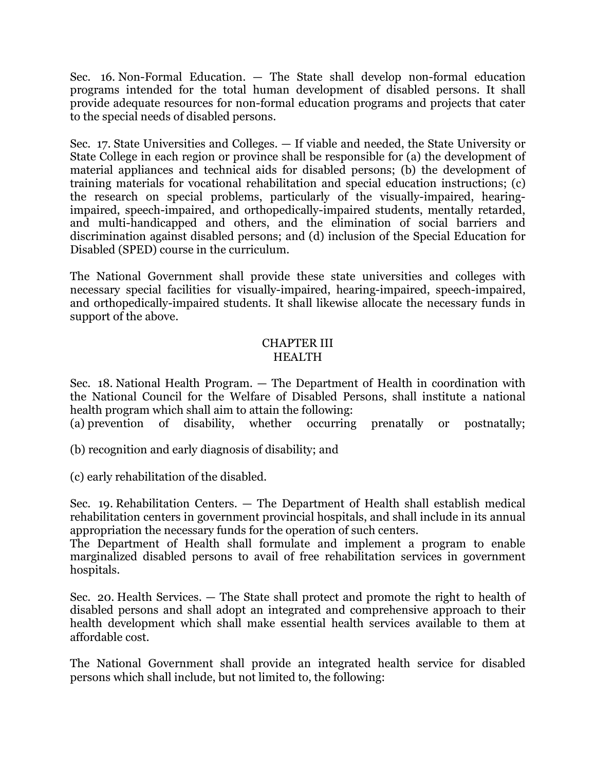Sec. 16. Non-Formal Education. — The State shall develop non-formal education programs intended for the total human development of disabled persons. It shall provide adequate resources for non-formal education programs and projects that cater to the special needs of disabled persons.

Sec. 17. State Universities and Colleges. — If viable and needed, the State University or State College in each region or province shall be responsible for (a) the development of material appliances and technical aids for disabled persons; (b) the development of training materials for vocational rehabilitation and special education instructions; (c) the research on special problems, particularly of the visually-impaired, hearingimpaired, speech-impaired, and orthopedically-impaired students, mentally retarded, and multi-handicapped and others, and the elimination of social barriers and discrimination against disabled persons; and (d) inclusion of the Special Education for Disabled (SPED) course in the curriculum.

The National Government shall provide these state universities and colleges with necessary special facilities for visually-impaired, hearing-impaired, speech-impaired, and orthopedically-impaired students. It shall likewise allocate the necessary funds in support of the above.

#### CHAPTER III HEALTH

Sec. 18. National Health Program. — The Department of Health in coordination with the National Council for the Welfare of Disabled Persons, shall institute a national health program which shall aim to attain the following:

(a) prevention of disability, whether occurring prenatally or postnatally;

(b) recognition and early diagnosis of disability; and

(c) early rehabilitation of the disabled.

Sec. 19. Rehabilitation Centers. — The Department of Health shall establish medical rehabilitation centers in government provincial hospitals, and shall include in its annual appropriation the necessary funds for the operation of such centers.

The Department of Health shall formulate and implement a program to enable marginalized disabled persons to avail of free rehabilitation services in government hospitals.

Sec. 20. Health Services. — The State shall protect and promote the right to health of disabled persons and shall adopt an integrated and comprehensive approach to their health development which shall make essential health services available to them at affordable cost.

The National Government shall provide an integrated health service for disabled persons which shall include, but not limited to, the following: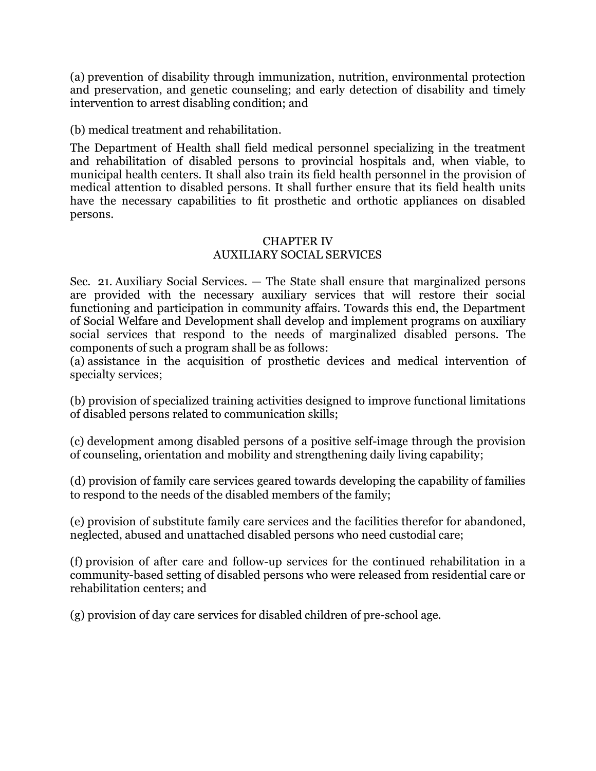(a) prevention of disability through immunization, nutrition, environmental protection and preservation, and genetic counseling; and early detection of disability and timely intervention to arrest disabling condition; and

(b) medical treatment and rehabilitation.

The Department of Health shall field medical personnel specializing in the treatment and rehabilitation of disabled persons to provincial hospitals and, when viable, to municipal health centers. It shall also train its field health personnel in the provision of medical attention to disabled persons. It shall further ensure that its field health units have the necessary capabilities to fit prosthetic and orthotic appliances on disabled persons.

## CHAPTER IV AUXILIARY SOCIAL SERVICES

Sec. 21. Auxiliary Social Services. — The State shall ensure that marginalized persons are provided with the necessary auxiliary services that will restore their social functioning and participation in community affairs. Towards this end, the Department of Social Welfare and Development shall develop and implement programs on auxiliary social services that respond to the needs of marginalized disabled persons. The components of such a program shall be as follows:

(a) assistance in the acquisition of prosthetic devices and medical intervention of specialty services;

(b) provision of specialized training activities designed to improve functional limitations of disabled persons related to communication skills;

(c) development among disabled persons of a positive self-image through the provision of counseling, orientation and mobility and strengthening daily living capability;

(d) provision of family care services geared towards developing the capability of families to respond to the needs of the disabled members of the family;

(e) provision of substitute family care services and the facilities therefor for abandoned, neglected, abused and unattached disabled persons who need custodial care;

(f) provision of after care and follow-up services for the continued rehabilitation in a community-based setting of disabled persons who were released from residential care or rehabilitation centers; and

(g) provision of day care services for disabled children of pre-school age.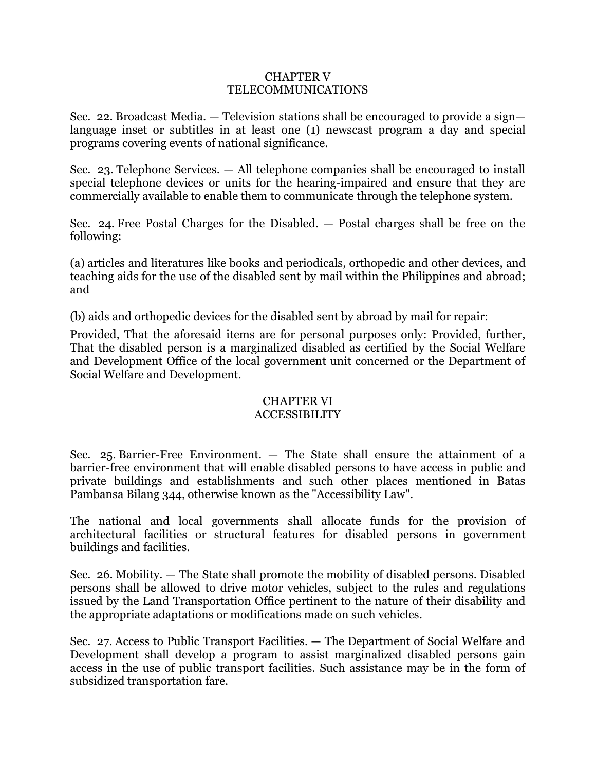#### CHAPTER V TELECOMMUNICATIONS

Sec. 22. Broadcast Media. — Television stations shall be encouraged to provide a sign language inset or subtitles in at least one (1) newscast program a day and special programs covering events of national significance.

Sec. 23. Telephone Services. — All telephone companies shall be encouraged to install special telephone devices or units for the hearing-impaired and ensure that they are commercially available to enable them to communicate through the telephone system.

Sec. 24. Free Postal Charges for the Disabled. — Postal charges shall be free on the following:

(a) articles and literatures like books and periodicals, orthopedic and other devices, and teaching aids for the use of the disabled sent by mail within the Philippines and abroad; and

(b) aids and orthopedic devices for the disabled sent by abroad by mail for repair:

Provided, That the aforesaid items are for personal purposes only: Provided, further, That the disabled person is a marginalized disabled as certified by the Social Welfare and Development Office of the local government unit concerned or the Department of Social Welfare and Development.

#### CHAPTER VI ACCESSIBILITY

Sec. 25. Barrier-Free Environment. — The State shall ensure the attainment of a barrier-free environment that will enable disabled persons to have access in public and private buildings and establishments and such other places mentioned in Batas Pambansa Bilang 344, otherwise known as the "Accessibility Law".

The national and local governments shall allocate funds for the provision of architectural facilities or structural features for disabled persons in government buildings and facilities.

Sec. 26. Mobility. — The State shall promote the mobility of disabled persons. Disabled persons shall be allowed to drive motor vehicles, subject to the rules and regulations issued by the Land Transportation Office pertinent to the nature of their disability and the appropriate adaptations or modifications made on such vehicles.

Sec. 27. Access to Public Transport Facilities. — The Department of Social Welfare and Development shall develop a program to assist marginalized disabled persons gain access in the use of public transport facilities. Such assistance may be in the form of subsidized transportation fare.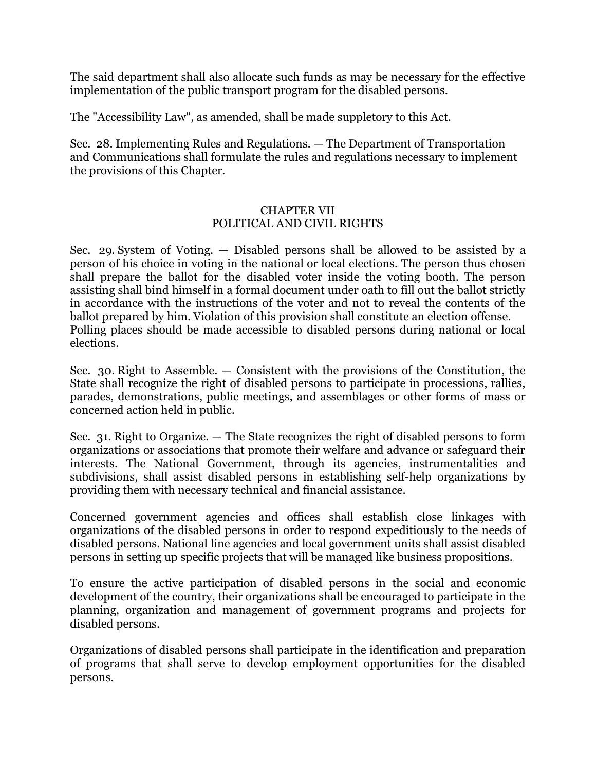The said department shall also allocate such funds as may be necessary for the effective implementation of the public transport program for the disabled persons.

The "Accessibility Law", as amended, shall be made suppletory to this Act.

Sec. 28. Implementing Rules and Regulations. — The Department of Transportation and Communications shall formulate the rules and regulations necessary to implement the provisions of this Chapter.

## CHAPTER VII POLITICAL AND CIVIL RIGHTS

Sec. 29. System of Voting. — Disabled persons shall be allowed to be assisted by a person of his choice in voting in the national or local elections. The person thus chosen shall prepare the ballot for the disabled voter inside the voting booth. The person assisting shall bind himself in a formal document under oath to fill out the ballot strictly in accordance with the instructions of the voter and not to reveal the contents of the ballot prepared by him. Violation of this provision shall constitute an election offense. Polling places should be made accessible to disabled persons during national or local elections.

Sec. 30. Right to Assemble. — Consistent with the provisions of the Constitution, the State shall recognize the right of disabled persons to participate in processions, rallies, parades, demonstrations, public meetings, and assemblages or other forms of mass or concerned action held in public.

Sec. 31. Right to Organize. — The State recognizes the right of disabled persons to form organizations or associations that promote their welfare and advance or safeguard their interests. The National Government, through its agencies, instrumentalities and subdivisions, shall assist disabled persons in establishing self-help organizations by providing them with necessary technical and financial assistance.

Concerned government agencies and offices shall establish close linkages with organizations of the disabled persons in order to respond expeditiously to the needs of disabled persons. National line agencies and local government units shall assist disabled persons in setting up specific projects that will be managed like business propositions.

To ensure the active participation of disabled persons in the social and economic development of the country, their organizations shall be encouraged to participate in the planning, organization and management of government programs and projects for disabled persons.

Organizations of disabled persons shall participate in the identification and preparation of programs that shall serve to develop employment opportunities for the disabled persons.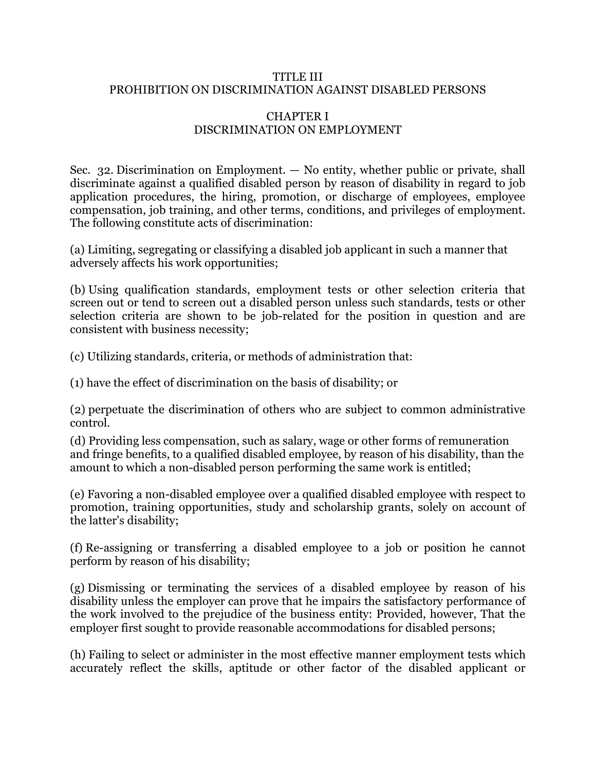## TITLE III PROHIBITION ON DISCRIMINATION AGAINST DISABLED PERSONS

## CHAPTER I DISCRIMINATION ON EMPLOYMENT

Sec. 32. Discrimination on Employment. — No entity, whether public or private, shall discriminate against a qualified disabled person by reason of disability in regard to job application procedures, the hiring, promotion, or discharge of employees, employee compensation, job training, and other terms, conditions, and privileges of employment. The following constitute acts of discrimination:

(a) Limiting, segregating or classifying a disabled job applicant in such a manner that adversely affects his work opportunities;

(b) Using qualification standards, employment tests or other selection criteria that screen out or tend to screen out a disabled person unless such standards, tests or other selection criteria are shown to be job-related for the position in question and are consistent with business necessity;

(c) Utilizing standards, criteria, or methods of administration that:

(1) have the effect of discrimination on the basis of disability; or

(2) perpetuate the discrimination of others who are subject to common administrative control.

(d) Providing less compensation, such as salary, wage or other forms of remuneration and fringe benefits, to a qualified disabled employee, by reason of his disability, than the amount to which a non-disabled person performing the same work is entitled;

(e) Favoring a non-disabled employee over a qualified disabled employee with respect to promotion, training opportunities, study and scholarship grants, solely on account of the latter's disability;

(f) Re-assigning or transferring a disabled employee to a job or position he cannot perform by reason of his disability;

(g) Dismissing or terminating the services of a disabled employee by reason of his disability unless the employer can prove that he impairs the satisfactory performance of the work involved to the prejudice of the business entity: Provided, however, That the employer first sought to provide reasonable accommodations for disabled persons;

(h) Failing to select or administer in the most effective manner employment tests which accurately reflect the skills, aptitude or other factor of the disabled applicant or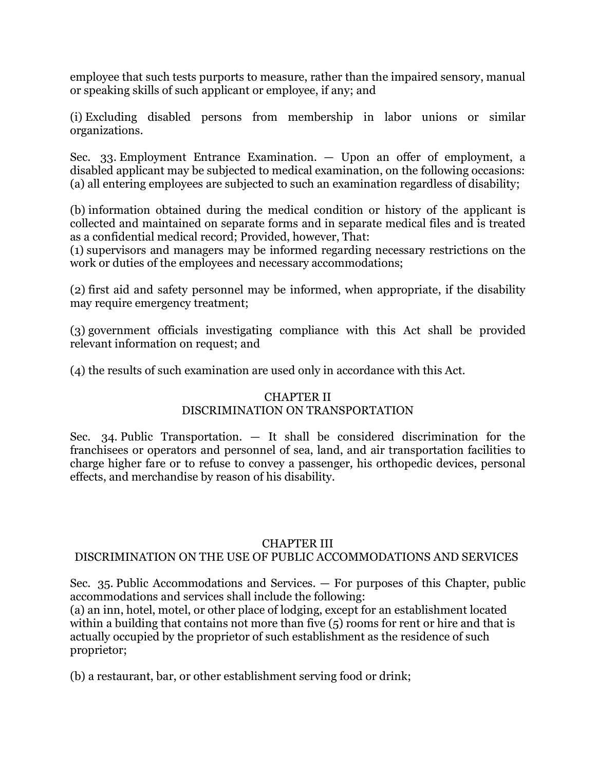employee that such tests purports to measure, rather than the impaired sensory, manual or speaking skills of such applicant or employee, if any; and

(i) Excluding disabled persons from membership in labor unions or similar organizations.

Sec. 33. Employment Entrance Examination. — Upon an offer of employment, a disabled applicant may be subjected to medical examination, on the following occasions: (a) all entering employees are subjected to such an examination regardless of disability;

(b) information obtained during the medical condition or history of the applicant is collected and maintained on separate forms and in separate medical files and is treated as a confidential medical record; Provided, however, That:

(1) supervisors and managers may be informed regarding necessary restrictions on the work or duties of the employees and necessary accommodations;

(2) first aid and safety personnel may be informed, when appropriate, if the disability may require emergency treatment;

(3) government officials investigating compliance with this Act shall be provided relevant information on request; and

(4) the results of such examination are used only in accordance with this Act.

# CHAPTER II

# DISCRIMINATION ON TRANSPORTATION

Sec. 34. Public Transportation.  $-$  It shall be considered discrimination for the franchisees or operators and personnel of sea, land, and air transportation facilities to charge higher fare or to refuse to convey a passenger, his orthopedic devices, personal effects, and merchandise by reason of his disability.

# CHAPTER III

# DISCRIMINATION ON THE USE OF PUBLIC ACCOMMODATIONS AND SERVICES

Sec. 35. Public Accommodations and Services. — For purposes of this Chapter, public accommodations and services shall include the following:

(a) an inn, hotel, motel, or other place of lodging, except for an establishment located within a building that contains not more than five (5) rooms for rent or hire and that is actually occupied by the proprietor of such establishment as the residence of such proprietor;

(b) a restaurant, bar, or other establishment serving food or drink;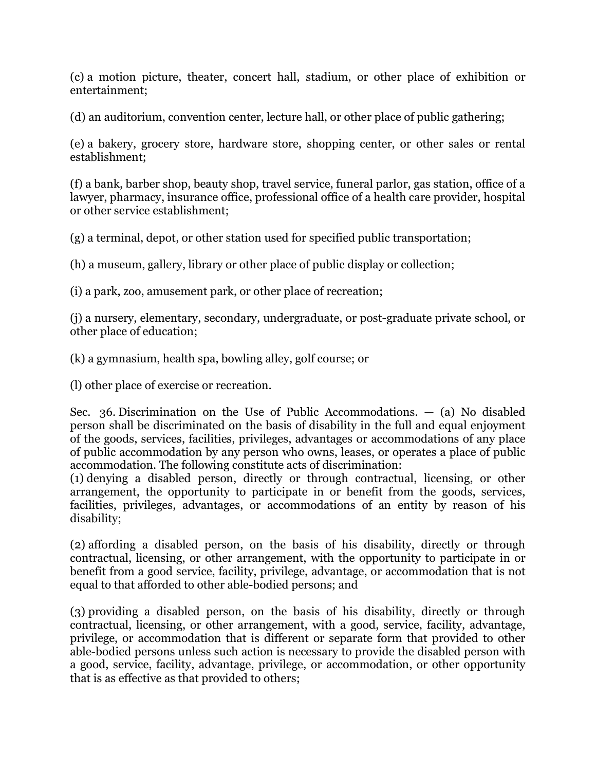(c) a motion picture, theater, concert hall, stadium, or other place of exhibition or entertainment;

(d) an auditorium, convention center, lecture hall, or other place of public gathering;

(e) a bakery, grocery store, hardware store, shopping center, or other sales or rental establishment;

(f) a bank, barber shop, beauty shop, travel service, funeral parlor, gas station, office of a lawyer, pharmacy, insurance office, professional office of a health care provider, hospital or other service establishment;

(g) a terminal, depot, or other station used for specified public transportation;

(h) a museum, gallery, library or other place of public display or collection;

(i) a park, zoo, amusement park, or other place of recreation;

(j) a nursery, elementary, secondary, undergraduate, or post-graduate private school, or other place of education;

(k) a gymnasium, health spa, bowling alley, golf course; or

(l) other place of exercise or recreation.

Sec. 36. Discrimination on the Use of Public Accommodations.  $-$  (a) No disabled person shall be discriminated on the basis of disability in the full and equal enjoyment of the goods, services, facilities, privileges, advantages or accommodations of any place of public accommodation by any person who owns, leases, or operates a place of public accommodation. The following constitute acts of discrimination:

(1) denying a disabled person, directly or through contractual, licensing, or other arrangement, the opportunity to participate in or benefit from the goods, services, facilities, privileges, advantages, or accommodations of an entity by reason of his disability;

(2) affording a disabled person, on the basis of his disability, directly or through contractual, licensing, or other arrangement, with the opportunity to participate in or benefit from a good service, facility, privilege, advantage, or accommodation that is not equal to that afforded to other able-bodied persons; and

(3) providing a disabled person, on the basis of his disability, directly or through contractual, licensing, or other arrangement, with a good, service, facility, advantage, privilege, or accommodation that is different or separate form that provided to other able-bodied persons unless such action is necessary to provide the disabled person with a good, service, facility, advantage, privilege, or accommodation, or other opportunity that is as effective as that provided to others;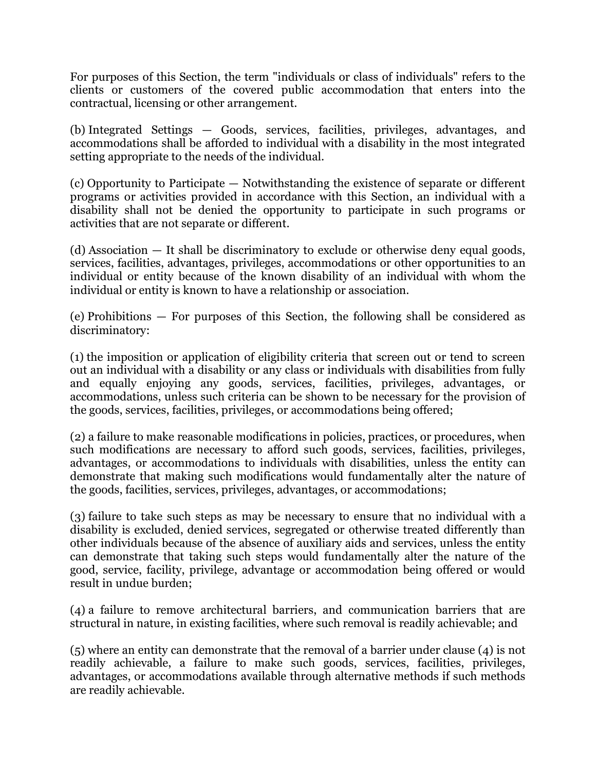For purposes of this Section, the term "individuals or class of individuals" refers to the clients or customers of the covered public accommodation that enters into the contractual, licensing or other arrangement.

(b) Integrated Settings — Goods, services, facilities, privileges, advantages, and accommodations shall be afforded to individual with a disability in the most integrated setting appropriate to the needs of the individual.

(c) Opportunity to Participate — Notwithstanding the existence of separate or different programs or activities provided in accordance with this Section, an individual with a disability shall not be denied the opportunity to participate in such programs or activities that are not separate or different.

(d) Association — It shall be discriminatory to exclude or otherwise deny equal goods, services, facilities, advantages, privileges, accommodations or other opportunities to an individual or entity because of the known disability of an individual with whom the individual or entity is known to have a relationship or association.

(e) Prohibitions — For purposes of this Section, the following shall be considered as discriminatory:

(1) the imposition or application of eligibility criteria that screen out or tend to screen out an individual with a disability or any class or individuals with disabilities from fully and equally enjoying any goods, services, facilities, privileges, advantages, or accommodations, unless such criteria can be shown to be necessary for the provision of the goods, services, facilities, privileges, or accommodations being offered;

(2) a failure to make reasonable modifications in policies, practices, or procedures, when such modifications are necessary to afford such goods, services, facilities, privileges, advantages, or accommodations to individuals with disabilities, unless the entity can demonstrate that making such modifications would fundamentally alter the nature of the goods, facilities, services, privileges, advantages, or accommodations;

(3) failure to take such steps as may be necessary to ensure that no individual with a disability is excluded, denied services, segregated or otherwise treated differently than other individuals because of the absence of auxiliary aids and services, unless the entity can demonstrate that taking such steps would fundamentally alter the nature of the good, service, facility, privilege, advantage or accommodation being offered or would result in undue burden;

(4) a failure to remove architectural barriers, and communication barriers that are structural in nature, in existing facilities, where such removal is readily achievable; and

(5) where an entity can demonstrate that the removal of a barrier under clause (4) is not readily achievable, a failure to make such goods, services, facilities, privileges, advantages, or accommodations available through alternative methods if such methods are readily achievable.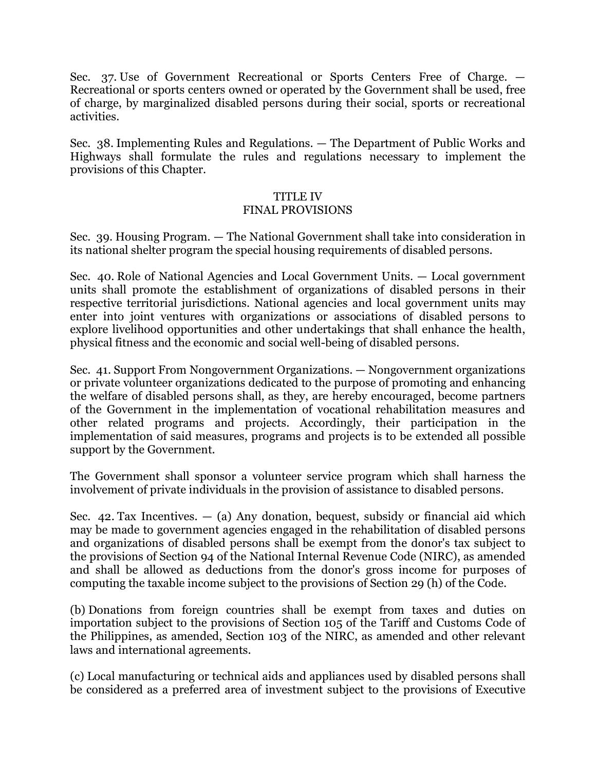Sec. 37. Use of Government Recreational or Sports Centers Free of Charge. — Recreational or sports centers owned or operated by the Government shall be used, free of charge, by marginalized disabled persons during their social, sports or recreational activities.

Sec. 38. Implementing Rules and Regulations. — The Department of Public Works and Highways shall formulate the rules and regulations necessary to implement the provisions of this Chapter.

#### TITLE IV

## FINAL PROVISIONS

Sec. 39. Housing Program. — The National Government shall take into consideration in its national shelter program the special housing requirements of disabled persons.

Sec. 40. Role of National Agencies and Local Government Units. — Local government units shall promote the establishment of organizations of disabled persons in their respective territorial jurisdictions. National agencies and local government units may enter into joint ventures with organizations or associations of disabled persons to explore livelihood opportunities and other undertakings that shall enhance the health, physical fitness and the economic and social well-being of disabled persons.

Sec. 41. Support From Nongovernment Organizations. — Nongovernment organizations or private volunteer organizations dedicated to the purpose of promoting and enhancing the welfare of disabled persons shall, as they, are hereby encouraged, become partners of the Government in the implementation of vocational rehabilitation measures and other related programs and projects. Accordingly, their participation in the implementation of said measures, programs and projects is to be extended all possible support by the Government.

The Government shall sponsor a volunteer service program which shall harness the involvement of private individuals in the provision of assistance to disabled persons.

Sec. 42. Tax Incentives.  $-$  (a) Any donation, bequest, subsidy or financial aid which may be made to government agencies engaged in the rehabilitation of disabled persons and organizations of disabled persons shall be exempt from the donor's tax subject to the provisions of Section 94 of the National Internal Revenue Code (NIRC), as amended and shall be allowed as deductions from the donor's gross income for purposes of computing the taxable income subject to the provisions of Section 29 (h) of the Code.

(b) Donations from foreign countries shall be exempt from taxes and duties on importation subject to the provisions of Section 105 of the Tariff and Customs Code of the Philippines, as amended, Section 103 of the NIRC, as amended and other relevant laws and international agreements.

(c) Local manufacturing or technical aids and appliances used by disabled persons shall be considered as a preferred area of investment subject to the provisions of Executive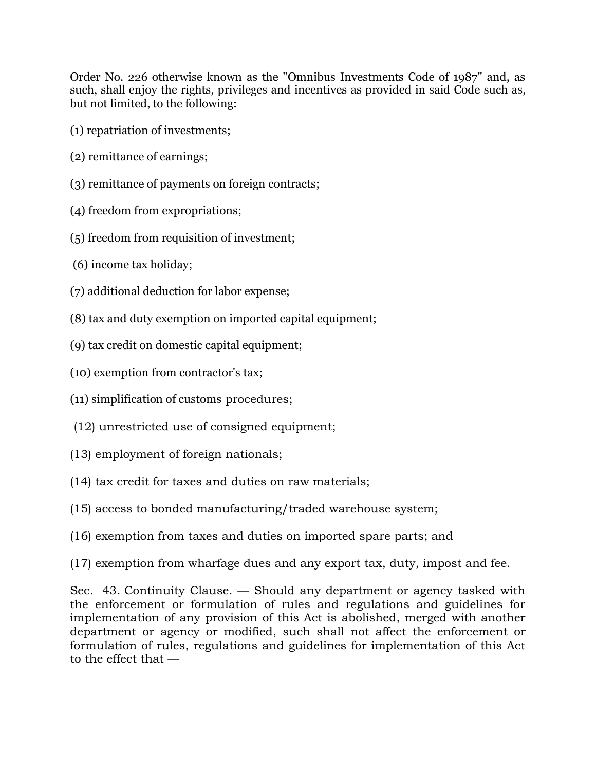Order No. 226 otherwise known as the "Omnibus Investments Code of 1987" and, as such, shall enjoy the rights, privileges and incentives as provided in said Code such as, but not limited, to the following:

- (1) repatriation of investments;
- (2) remittance of earnings;
- (3) remittance of payments on foreign contracts;
- (4) freedom from expropriations;
- (5) freedom from requisition of investment;
- (6) income tax holiday;
- (7) additional deduction for labor expense;
- (8) tax and duty exemption on imported capital equipment;
- (9) tax credit on domestic capital equipment;
- (10) exemption from contractor's tax;
- (11) simplification of customs procedures;
- (12) unrestricted use of consigned equipment;
- (13) employment of foreign nationals;
- (14) tax credit for taxes and duties on raw materials;
- (15) access to bonded manufacturing/traded warehouse system;
- (16) exemption from taxes and duties on imported spare parts; and
- (17) exemption from wharfage dues and any export tax, duty, impost and fee.

Sec. 43. Continuity Clause. — Should any department or agency tasked with the enforcement or formulation of rules and regulations and guidelines for implementation of any provision of this Act is abolished, merged with another department or agency or modified, such shall not affect the enforcement or formulation of rules, regulations and guidelines for implementation of this Act to the effect that —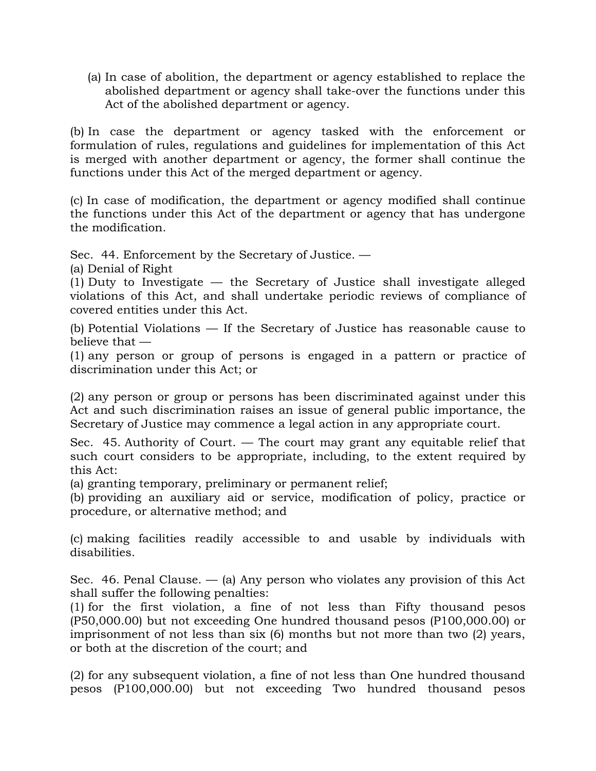(a) In case of abolition, the department or agency established to replace the abolished department or agency shall take-over the functions under this Act of the abolished department or agency.

(b) In case the department or agency tasked with the enforcement or formulation of rules, regulations and guidelines for implementation of this Act is merged with another department or agency, the former shall continue the functions under this Act of the merged department or agency.

(c) In case of modification, the department or agency modified shall continue the functions under this Act of the department or agency that has undergone the modification.

Sec. 44. Enforcement by the Secretary of Justice. —

(a) Denial of Right

(1) Duty to Investigate — the Secretary of Justice shall investigate alleged violations of this Act, and shall undertake periodic reviews of compliance of covered entities under this Act.

(b) Potential Violations — If the Secretary of Justice has reasonable cause to believe that —

(1) any person or group of persons is engaged in a pattern or practice of discrimination under this Act; or

(2) any person or group or persons has been discriminated against under this Act and such discrimination raises an issue of general public importance, the Secretary of Justice may commence a legal action in any appropriate court.

Sec. 45. Authority of Court. — The court may grant any equitable relief that such court considers to be appropriate, including, to the extent required by this Act:

(a) granting temporary, preliminary or permanent relief;

(b) providing an auxiliary aid or service, modification of policy, practice or procedure, or alternative method; and

(c) making facilities readily accessible to and usable by individuals with disabilities.

Sec. 46. Penal Clause.  $-$  (a) Any person who violates any provision of this Act shall suffer the following penalties:

(1) for the first violation, a fine of not less than Fifty thousand pesos (P50,000.00) but not exceeding One hundred thousand pesos (P100,000.00) or imprisonment of not less than six (6) months but not more than two (2) years, or both at the discretion of the court; and

(2) for any subsequent violation, a fine of not less than One hundred thousand pesos (P100,000.00) but not exceeding Two hundred thousand pesos